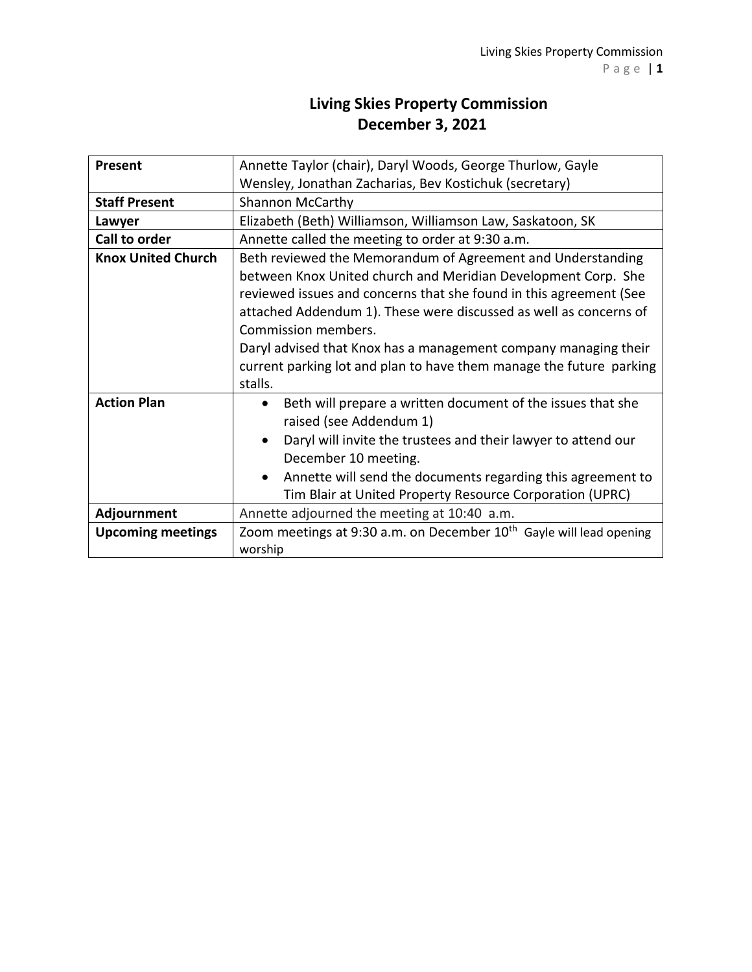## **Living Skies Property Commission December 3, 2021**

| Present                   | Annette Taylor (chair), Daryl Woods, George Thurlow, Gayle                      |
|---------------------------|---------------------------------------------------------------------------------|
|                           | Wensley, Jonathan Zacharias, Bev Kostichuk (secretary)                          |
| <b>Staff Present</b>      | <b>Shannon McCarthy</b>                                                         |
| Lawyer                    | Elizabeth (Beth) Williamson, Williamson Law, Saskatoon, SK                      |
| Call to order             | Annette called the meeting to order at 9:30 a.m.                                |
| <b>Knox United Church</b> | Beth reviewed the Memorandum of Agreement and Understanding                     |
|                           | between Knox United church and Meridian Development Corp. She                   |
|                           | reviewed issues and concerns that she found in this agreement (See              |
|                           | attached Addendum 1). These were discussed as well as concerns of               |
|                           | Commission members.                                                             |
|                           | Daryl advised that Knox has a management company managing their                 |
|                           | current parking lot and plan to have them manage the future parking             |
|                           | stalls.                                                                         |
| <b>Action Plan</b>        | Beth will prepare a written document of the issues that she                     |
|                           | raised (see Addendum 1)                                                         |
|                           | Daryl will invite the trustees and their lawyer to attend our                   |
|                           | December 10 meeting.                                                            |
|                           | Annette will send the documents regarding this agreement to<br>$\bullet$        |
|                           | Tim Blair at United Property Resource Corporation (UPRC)                        |
| Adjournment               | Annette adjourned the meeting at 10:40 a.m.                                     |
| <b>Upcoming meetings</b>  | Zoom meetings at 9:30 a.m. on December 10 <sup>th</sup> Gayle will lead opening |
|                           | worship                                                                         |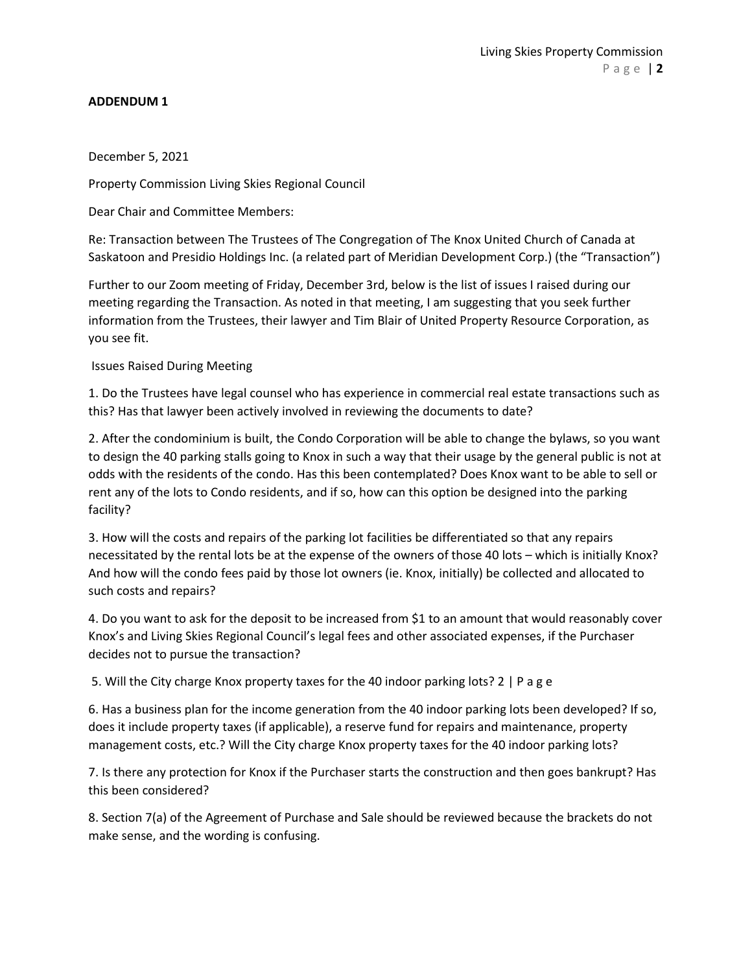## **ADDENDUM 1**

December 5, 2021

Property Commission Living Skies Regional Council

Dear Chair and Committee Members:

Re: Transaction between The Trustees of The Congregation of The Knox United Church of Canada at Saskatoon and Presidio Holdings Inc. (a related part of Meridian Development Corp.) (the "Transaction")

Further to our Zoom meeting of Friday, December 3rd, below is the list of issues I raised during our meeting regarding the Transaction. As noted in that meeting, I am suggesting that you seek further information from the Trustees, their lawyer and Tim Blair of United Property Resource Corporation, as you see fit.

Issues Raised During Meeting

1. Do the Trustees have legal counsel who has experience in commercial real estate transactions such as this? Has that lawyer been actively involved in reviewing the documents to date?

2. After the condominium is built, the Condo Corporation will be able to change the bylaws, so you want to design the 40 parking stalls going to Knox in such a way that their usage by the general public is not at odds with the residents of the condo. Has this been contemplated? Does Knox want to be able to sell or rent any of the lots to Condo residents, and if so, how can this option be designed into the parking facility?

3. How will the costs and repairs of the parking lot facilities be differentiated so that any repairs necessitated by the rental lots be at the expense of the owners of those 40 lots – which is initially Knox? And how will the condo fees paid by those lot owners (ie. Knox, initially) be collected and allocated to such costs and repairs?

4. Do you want to ask for the deposit to be increased from \$1 to an amount that would reasonably cover Knox's and Living Skies Regional Council's legal fees and other associated expenses, if the Purchaser decides not to pursue the transaction?

5. Will the City charge Knox property taxes for the 40 indoor parking lots? 2 | P a g e

6. Has a business plan for the income generation from the 40 indoor parking lots been developed? If so, does it include property taxes (if applicable), a reserve fund for repairs and maintenance, property management costs, etc.? Will the City charge Knox property taxes for the 40 indoor parking lots?

7. Is there any protection for Knox if the Purchaser starts the construction and then goes bankrupt? Has this been considered?

8. Section 7(a) of the Agreement of Purchase and Sale should be reviewed because the brackets do not make sense, and the wording is confusing.